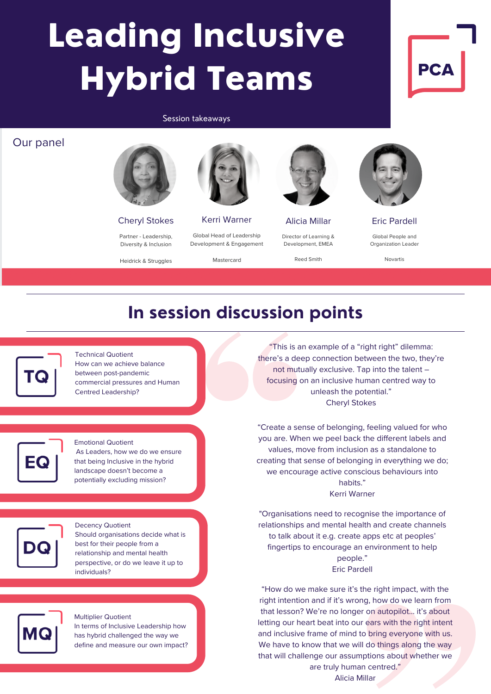# Leading Inclusive Hybrid Teams

### Session takeaways

## Our panel



**Cheryl Stokes** 

Partner - Leadership. Diversity & Inclusion

Heidrick & Struggles



Kerri Warner Global Head of Leadership Development & Engagement

Mastercard



**Alicia Millar** Director of Learning & Development, EMEA

Reed Smith



**PC** 

**Eric Pardell** Global People and

Organization Leader

Novartis

# **In session discussion points**



## Technical Quotient How can we achieve balance between post-pandemic commercial pressures and Human Centred Leadership?



## Emotional Quotient As Leaders, how we do we ensure that being Inclusive in the hybrid

landscape doesn't become a potentially excluding mission?



### Decency Quotient Should organisations decide what is best for their people from a relationship and mental health perspective, or do we leave it up to individuals?



Multiplier Quotient In terms of Inclusive Leadership how has hybrid challenged the way we define and measure our own impact?

"This is an example of a "right right" dilemma: there's a deep connection between the two, they're not mutually exclusive. Tap into the talent – focusing on an inclusive human centred way to unleash the potential." Cheryl Stokes

"Create a sense of belonging, feeling valued for who you are. When we peel back the different labels and values, move from inclusion as a standalone to creating that sense of belonging in everything we do; we encourage active conscious behaviours into hahits' Kerri Warner

"Organisations need to recognise the importance of relationships and mental health and create channels to talk about it e.g. create apps etc at peoples' fingertips to encourage an environment to help people." Eric Pardell

"How do we make sure it's the right impact, with the right intention and if it's wrong, how do we learn from that lesson? We're no longer on autopilot… it's about letting our heart beat into our ears with the right intent and inclusive frame of mind to bring everyone with us. We have to know that we will do things along the way that will challenge our assumptions about whether we are truly human centred."

Alicia Millar